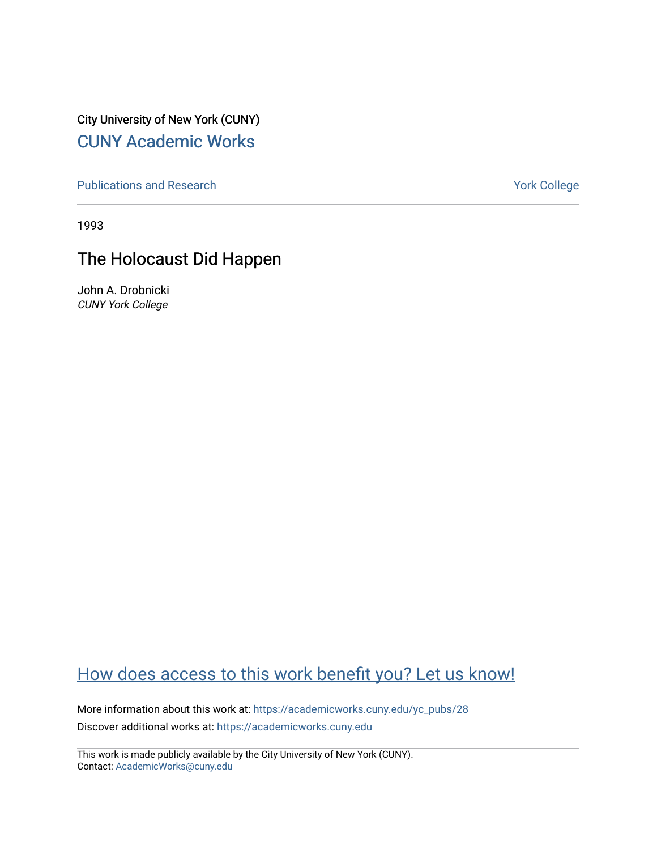City University of New York (CUNY) [CUNY Academic Works](https://academicworks.cuny.edu/) 

[Publications and Research](https://academicworks.cuny.edu/yc_pubs) Theorem 2012 Contract College Vork College

1993

## The Holocaust Did Happen

John A. Drobnicki CUNY York College

## [How does access to this work benefit you? Let us know!](http://ols.cuny.edu/academicworks/?ref=https://academicworks.cuny.edu/yc_pubs/28)

More information about this work at: [https://academicworks.cuny.edu/yc\\_pubs/28](https://academicworks.cuny.edu/yc_pubs/28)  Discover additional works at: [https://academicworks.cuny.edu](https://academicworks.cuny.edu/?)

This work is made publicly available by the City University of New York (CUNY). Contact: [AcademicWorks@cuny.edu](mailto:AcademicWorks@cuny.edu)